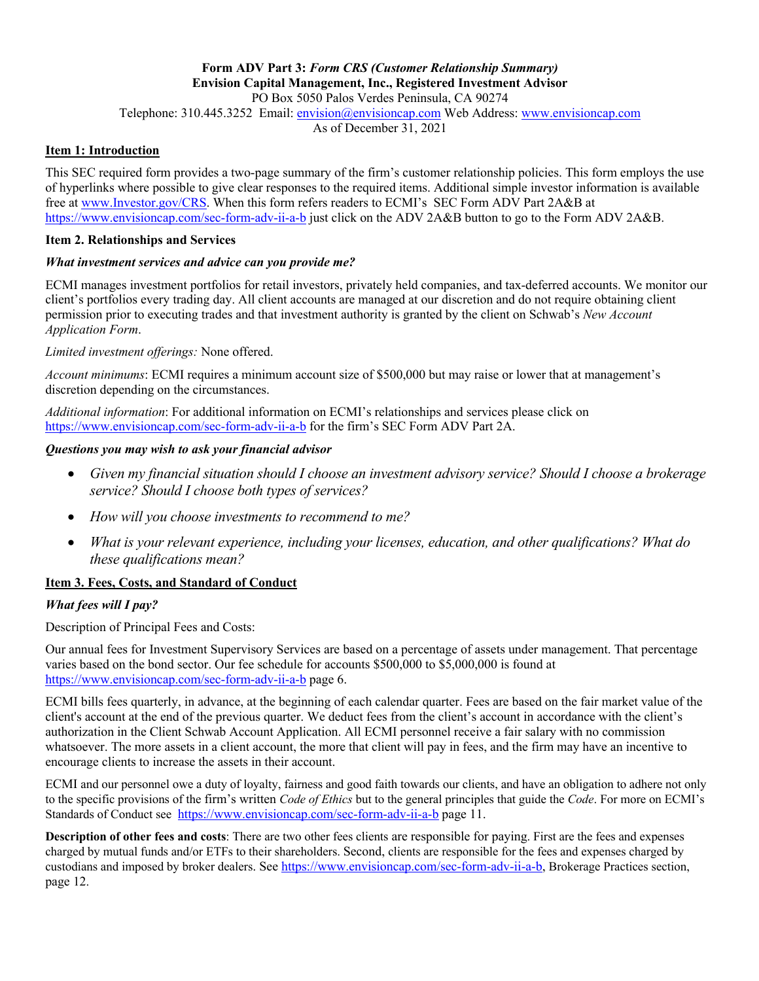#### **Form ADV Part 3:** *Form CRS (Customer Relationship Summary)* **Envision Capital Management, Inc., Registered Investment Advisor** PO Box 5050 Palos Verdes Peninsula, CA 90274

Telephone: 310.445.3252 Email: envision@envisioncap.com Web Address: www.envisioncap.com

As of December 31, 2021

## **Item 1: Introduction**

This SEC required form provides a two-page summary of the firm's customer relationship policies. This form employs the use of hyperlinks where possible to give clear responses to the required items. Additional simple investor information is available free at www.Investor.gov/CRS. When this form refers readers to ECMI's SEC Form ADV Part 2A&B at https://www.envisioncap.com/sec-form-adv-ii-a-b just click on the ADV 2A&B button to go to the Form ADV 2A&B.

#### **Item 2. Relationships and Services**

#### *What investment services and advice can you provide me?*

ECMI manages investment portfolios for retail investors, privately held companies, and tax-deferred accounts. We monitor our client's portfolios every trading day. All client accounts are managed at our discretion and do not require obtaining client permission prior to executing trades and that investment authority is granted by the client on Schwab's *New Account Application Form*.

#### *Limited investment offerings:* None offered.

*Account minimums*: ECMI requires a minimum account size of \$500,000 but may raise or lower that at management's discretion depending on the circumstances.

*Additional information*: For additional information on ECMI's relationships and services please click on https://www.envisioncap.com/sec-form-adv-ii-a-b for the firm's SEC Form ADV Part 2A.

## *Questions you may wish to ask your financial advisor*

- *Given my financial situation should I choose an investment advisory service? Should I choose a brokerage service? Should I choose both types of services?*
- *How will you choose investments to recommend to me?*
- *What is your relevant experience, including your licenses, education, and other qualifications? What do these qualifications mean?*

# **Item 3. Fees, Costs, and Standard of Conduct**

## *What fees will I pay?*

Description of Principal Fees and Costs:

Our annual fees for Investment Supervisory Services are based on a percentage of assets under management. That percentage varies based on the bond sector. Our fee schedule for accounts \$500,000 to \$5,000,000 is found at https://www.envisioncap.com/sec-form-adv-ii-a-b page 6.

ECMI bills fees quarterly, in advance, at the beginning of each calendar quarter. Fees are based on the fair market value of the client's account at the end of the previous quarter. We deduct fees from the client's account in accordance with the client's authorization in the Client Schwab Account Application. All ECMI personnel receive a fair salary with no commission whatsoever. The more assets in a client account, the more that client will pay in fees, and the firm may have an incentive to encourage clients to increase the assets in their account.

ECMI and our personnel owe a duty of loyalty, fairness and good faith towards our clients, and have an obligation to adhere not only to the specific provisions of the firm's written *Code of Ethics* but to the general principles that guide the *Code*. For more on ECMI's Standards of Conduct see https://www.envisioncap.com/sec-form-adv-ii-a-b page 11.

**Description of other fees and costs**: There are two other fees clients are responsible for paying. First are the fees and expenses charged by mutual funds and/or ETFs to their shareholders. Second, clients are responsible for the fees and expenses charged by custodians and imposed by broker dealers. See https://www.envisioncap.com/sec-form-adv-ii-a-b, Brokerage Practices section, page 12.